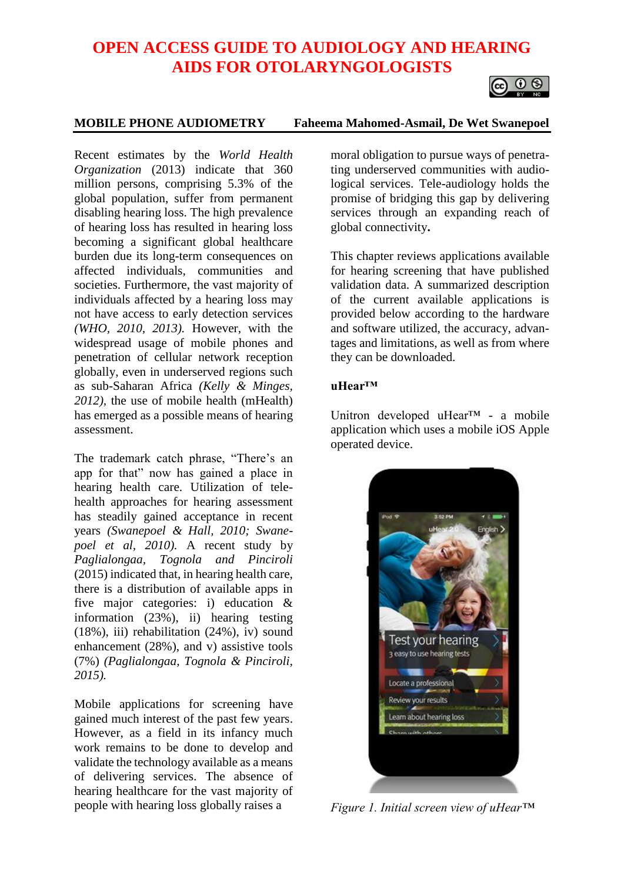# **OPEN ACCESS GUIDE TO AUDIOLOGY AND HEARING AIDS FOR OTOLARYNGOLOGISTS**



#### **MOBILE PHONE AUDIOMETRY Faheema Mahomed-Asmail, De Wet Swanepoel**

Recent estimates by the *World Health Organization* (2013) indicate that 360 million persons, comprising 5.3% of the global population, suffer from permanent disabling hearing loss. The high prevalence of hearing loss has resulted in hearing loss becoming a significant global healthcare burden due its long-term consequences on affected individuals, communities and societies. Furthermore, the vast majority of individuals affected by a hearing loss may not have access to early detection services *(WHO, 2010, 2013).* However, with the widespread usage of mobile phones and penetration of cellular network reception globally, even in underserved regions such as sub-Saharan Africa *(Kelly & Minges, 2012),* the use of mobile health (mHealth) has emerged as a possible means of hearing assessment.

The trademark catch phrase, "There's an app for that" now has gained a place in hearing health care. Utilization of telehealth approaches for hearing assessment has steadily gained acceptance in recent years *(Swanepoel & Hall, 2010; Swanepoel et al, 2010).* A recent study by *Paglialongaa, Tognola and Pinciroli* (2015) indicated that, in hearing health care, there is a distribution of available apps in five major categories: i) education & information (23%), ii) hearing testing (18%), iii) rehabilitation (24%), iv) sound enhancement (28%), and v) assistive tools (7%) *(Paglialongaa, Tognola & Pinciroli, 2015).*

Mobile applications for screening have gained much interest of the past few years. However, as a field in its infancy much work remains to be done to develop and validate the technology available as a means of delivering services. The absence of hearing healthcare for the vast majority of people with hearing loss globally raises a

moral obligation to pursue ways of penetrating underserved communities with audiological services. Tele-audiology holds the promise of bridging this gap by delivering services through an expanding reach of global connectivity**.**

This chapter reviews applications available for hearing screening that have published validation data. A summarized description of the current available applications is provided below according to the hardware and software utilized, the accuracy, advantages and limitations, as well as from where they can be downloaded.

#### **uHear™**

Unitron developed uHear™ - a mobile application which uses a mobile iOS Apple operated device.



*Figure 1. Initial screen view of uHear™*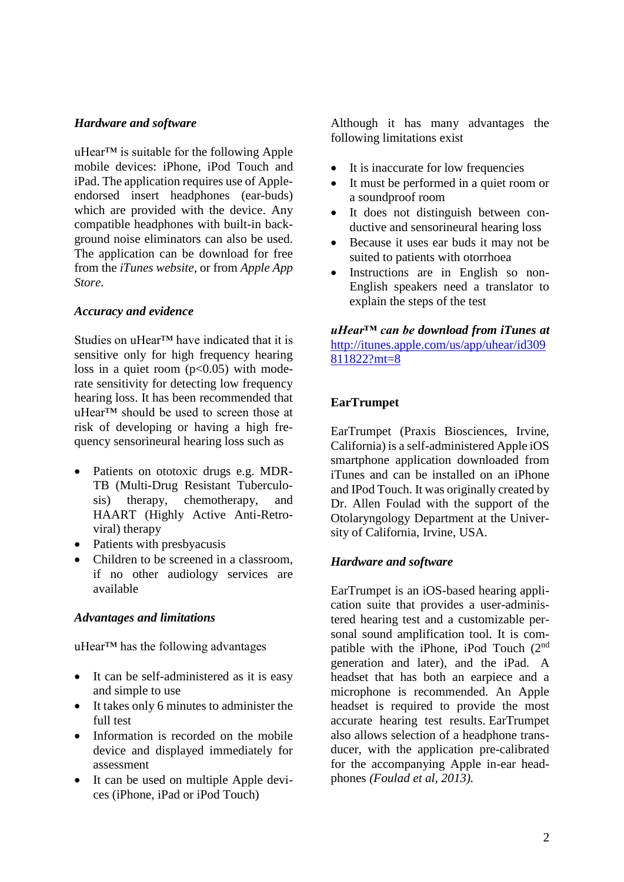## *Hardware and software*

uHear™ is suitable for the following Apple mobile devices: iPhone, iPod Touch and iPad. The application requires use of Appleendorsed insert headphones (ear-buds) which are provided with the device. Any compatible headphones with built-in background noise eliminators can also be used. The application can be download for free from the *iTunes website*, or from *Apple App Store*.

## *Accuracy and evidence*

Studies on uHear™ have indicated that it is sensitive only for high frequency hearing loss in a quiet room  $(p<0.05)$  with moderate sensitivity for detecting low frequency hearing loss. It has been recommended that uHear™ should be used to screen those at risk of developing or having a high frequency sensorineural hearing loss such as

- Patients on ototoxic drugs e.g. MDR-TB (Multi-Drug Resistant Tuberculosis) therapy, chemotherapy, and HAART (Highly Active Anti-Retroviral) therapy
- Patients with presbyacusis
- Children to be screened in a classroom, if no other audiology services are available

## *Advantages and limitations*

uHear™ has the following advantages

- It can be self-administered as it is easy and simple to use
- It takes only 6 minutes to administer the full test
- Information is recorded on the mobile device and displayed immediately for assessment
- It can be used on multiple Apple devices (iPhone, iPad or iPod Touch)

Although it has many advantages the following limitations exist

- It is inaccurate for low frequencies
- It must be performed in a quiet room or a soundproof room
- It does not distinguish between conductive and sensorineural hearing loss
- Because it uses ear buds it may not be suited to patients with otorrhoea
- Instructions are in English so non-English speakers need a translator to explain the steps of the test

## *uHear™ can be download from iTunes at* [http://itunes.apple.com/us/app/uhear/id309](http://itunes.apple.com/us/app/uhear/id309811822?mt=8) [811822?mt=8](http://itunes.apple.com/us/app/uhear/id309811822?mt=8)

## **EarTrumpet**

EarTrumpet (Praxis Biosciences, Irvine, California) is a self-administered Apple iOS smartphone application downloaded from iTunes and can be installed on an iPhone and IPod Touch. It was originally created by Dr. Allen Foulad with the support of the Otolaryngology Department at the University of California, Irvine, USA.

#### *Hardware and software*

EarTrumpet is an iOS-based hearing application suite that provides a user-administered hearing test and a customizable personal sound amplification tool. It is compatible with the iPhone, iPod Touch  $(2<sup>nd</sup>$ generation and later), and the iPad. A headset that has both an earpiece and a microphone is recommended. An Apple headset is required to provide the most accurate hearing test results. EarTrumpet also allows selection of a headphone transducer, with the application pre-calibrated for the accompanying Apple in-ear headphones *(Foulad et al, 2013).*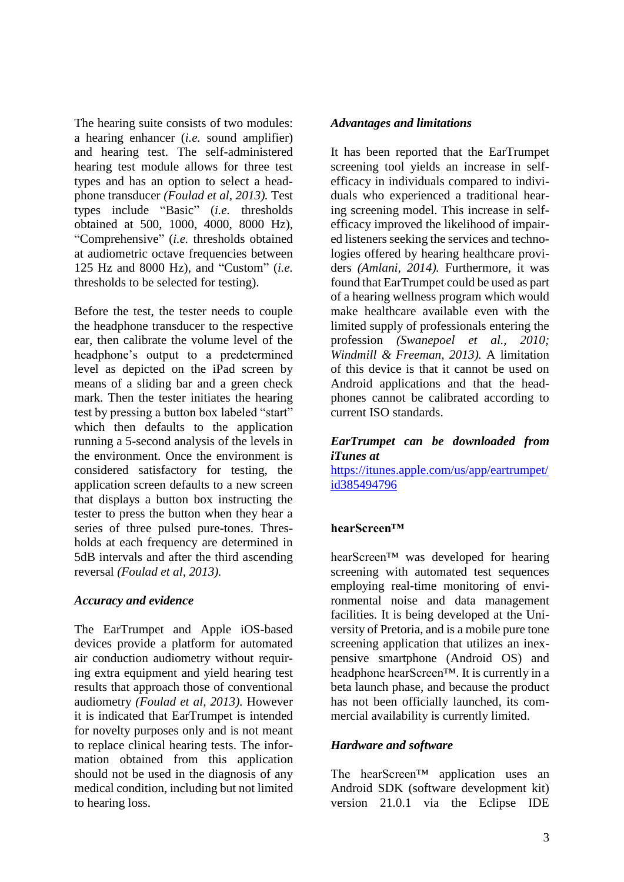The hearing suite consists of two modules: a hearing enhancer (*i.e.* sound amplifier) and hearing test. The self-administered hearing test module allows for three test types and has an option to select a headphone transducer *(Foulad et al, 2013).* Test types include "Basic" (*i.e.* thresholds obtained at 500, 1000, 4000, 8000 Hz), "Comprehensive" (*i.e.* thresholds obtained at audiometric octave frequencies between 125 Hz and 8000 Hz), and "Custom" (*i.e.* thresholds to be selected for testing).

Before the test, the tester needs to couple the headphone transducer to the respective ear, then calibrate the volume level of the headphone's output to a predetermined level as depicted on the iPad screen by means of a sliding bar and a green check mark. Then the tester initiates the hearing test by pressing a button box labeled "start" which then defaults to the application running a 5-second analysis of the levels in the environment. Once the environment is considered satisfactory for testing, the application screen defaults to a new screen that displays a button box instructing the tester to press the button when they hear a series of three pulsed pure-tones. Thresholds at each frequency are determined in 5dB intervals and after the third ascending reversal *(Foulad et al, 2013).* 

## *Accuracy and evidence*

The EarTrumpet and Apple iOS-based devices provide a platform for automated air conduction audiometry without requiring extra equipment and yield hearing test results that approach those of conventional audiometry *(Foulad et al, 2013).* However it is indicated that EarTrumpet is intended for novelty purposes only and is not meant to replace clinical hearing tests. The information obtained from this application should not be used in the diagnosis of any medical condition, including but not limited to hearing loss.

## *Advantages and limitations*

It has been reported that the EarTrumpet screening tool yields an increase in selfefficacy in individuals compared to individuals who experienced a traditional hearing screening model. This increase in selfefficacy improved the likelihood of impaired listeners seeking the services and technologies offered by hearing healthcare providers *(Amlani, 2014).* Furthermore, it was found that EarTrumpet could be used as part of a hearing wellness program which would make healthcare available even with the limited supply of professionals entering the profession *(Swanepoel et al., 2010; Windmill & Freeman, 2013).* A limitation of this device is that it cannot be used on Android applications and that the headphones cannot be calibrated according to current ISO standards.

# *EarTrumpet can be downloaded from iTunes at*

[https://itunes.apple.com/us/app/eartrumpet/](https://itunes.apple.com/us/app/eartrumpet/id385494796) [id385494796](https://itunes.apple.com/us/app/eartrumpet/id385494796)

## **hearScreen™**

hearScreen™ was developed for hearing screening with automated test sequences employing real-time monitoring of environmental noise and data management facilities. It is being developed at the University of Pretoria, and is a mobile pure tone screening application that utilizes an inexpensive smartphone (Android OS) and headphone hearScreen™. It is currently in a beta launch phase, and because the product has not been officially launched, its commercial availability is currently limited.

## *Hardware and software*

The hearScreen™ application uses an Android SDK (software development kit) version 21.0.1 via the Eclipse IDE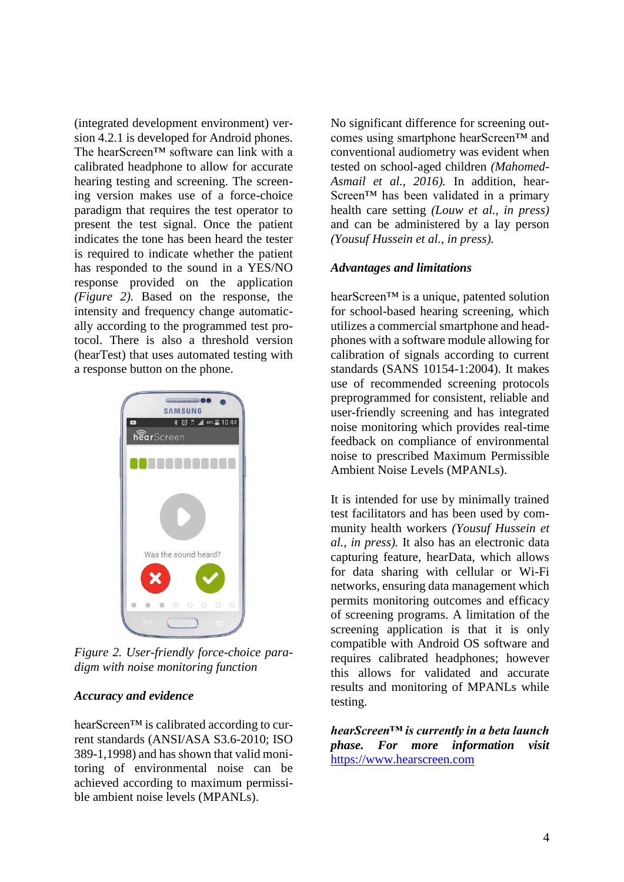(integrated development environment) version 4.2.1 is developed for Android phones. The hearScreen™ software can link with a calibrated headphone to allow for accurate hearing testing and screening. The screening version makes use of a force-choice paradigm that requires the test operator to present the test signal. Once the patient indicates the tone has been heard the tester is required to indicate whether the patient has responded to the sound in a YES/NO response provided on the application *(Figure 2).* Based on the response, the intensity and frequency change automatically according to the programmed test protocol. There is also a threshold version (hearTest) that uses automated testing with a response button on the phone.



*Figure 2. User-friendly force-choice paradigm with noise monitoring function*

#### *Accuracy and evidence*

hearScreen™ is calibrated according to current standards (ANSI/ASA S3.6-2010; ISO 389-1,1998) and has shown that valid monitoring of environmental noise can be achieved according to maximum permissible ambient noise levels (MPANLs).

No significant difference for screening outcomes using smartphone hearScreen™ and conventional audiometry was evident when tested on school-aged children *(Mahomed-Asmail et al., 2016).* In addition, hear-Screen™ has been validated in a primary health care setting *(Louw et al., in press)* and can be administered by a lay person *(Yousuf Hussein et al., in press).*

## *Advantages and limitations*

hearScreen™ is a unique, patented solution for school-based hearing screening, which utilizes a commercial smartphone and headphones with a software module allowing for calibration of signals according to current standards (SANS 10154-1:2004). It makes use of recommended screening protocols preprogrammed for consistent, reliable and user-friendly screening and has integrated noise monitoring which provides real-time feedback on compliance of environmental noise to prescribed Maximum Permissible Ambient Noise Levels (MPANLs).

It is intended for use by minimally trained test facilitators and has been used by community health workers *(Yousuf Hussein et al., in press).* It also has an electronic data capturing feature, hearData, which allows for data sharing with cellular or Wi-Fi networks, ensuring data management which permits monitoring outcomes and efficacy of screening programs. A limitation of the screening application is that it is only compatible with Android OS software and requires calibrated headphones; however this allows for validated and accurate results and monitoring of MPANLs while testing.

*hearScreen™ is currently in a beta launch phase. For more information visit* [https://www.hearscreen.com](https://www.hearscreen.com/)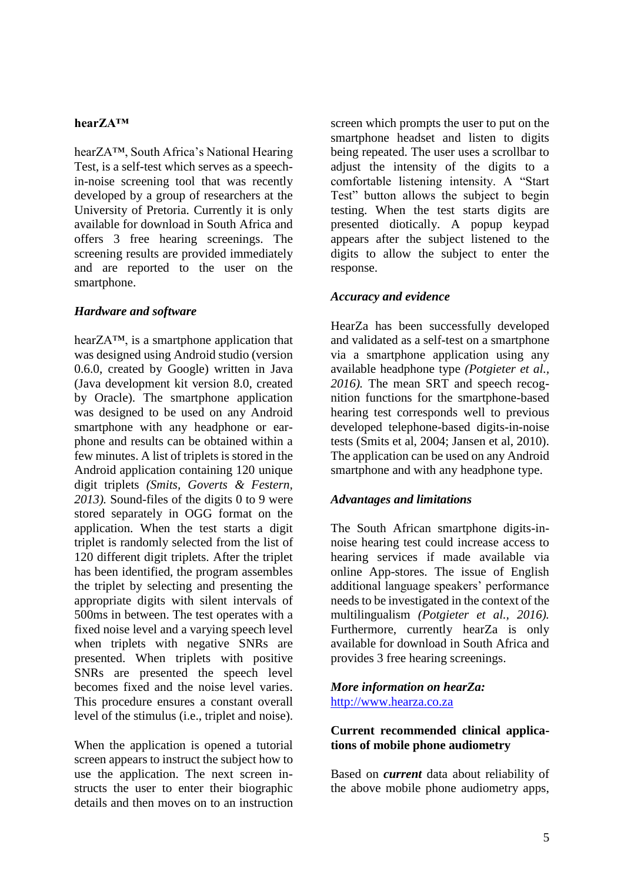#### **hearZA™**

hearZA™, South Africa's National Hearing Test, is a self-test which serves as a speechin-noise screening tool that was recently developed by a group of researchers at the University of Pretoria. Currently it is only available for download in South Africa and offers 3 free hearing screenings. The screening results are provided immediately and are reported to the user on the smartphone.

## *Hardware and software*

hearZA™, is a smartphone application that was designed using Android studio (version 0.6.0, created by Google) written in Java (Java development kit version 8.0, created by Oracle). The smartphone application was designed to be used on any Android smartphone with any headphone or earphone and results can be obtained within a few minutes. A list of triplets is stored in the Android application containing 120 unique digit triplets *(Smits, Goverts & Festern, 2013).* Sound-files of the digits 0 to 9 were stored separately in OGG format on the application. When the test starts a digit triplet is randomly selected from the list of 120 different digit triplets. After the triplet has been identified, the program assembles the triplet by selecting and presenting the appropriate digits with silent intervals of 500ms in between. The test operates with a fixed noise level and a varying speech level when triplets with negative SNRs are presented. When triplets with positive SNRs are presented the speech level becomes fixed and the noise level varies. This procedure ensures a constant overall level of the stimulus (i.e., triplet and noise).

When the application is opened a tutorial screen appears to instruct the subject how to use the application. The next screen instructs the user to enter their biographic details and then moves on to an instruction

screen which prompts the user to put on the smartphone headset and listen to digits being repeated. The user uses a scrollbar to adjust the intensity of the digits to a comfortable listening intensity. A "Start Test" button allows the subject to begin testing. When the test starts digits are presented diotically. A popup keypad appears after the subject listened to the digits to allow the subject to enter the response.

## *Accuracy and evidence*

HearZa has been successfully developed and validated as a self-test on a smartphone via a smartphone application using any available headphone type *(Potgieter et al., 2016).* The mean SRT and speech recognition functions for the smartphone-based hearing test corresponds well to previous developed telephone-based digits-in-noise tests (Smits et al, 2004; Jansen et al, 2010). The application can be used on any Android smartphone and with any headphone type.

## *Advantages and limitations*

The South African smartphone digits-innoise hearing test could increase access to hearing services if made available via online App-stores. The issue of English additional language speakers' performance needs to be investigated in the context of the multilingualism *(Potgieter et al., 2016).* Furthermore, currently hearZa is only available for download in South Africa and provides 3 free hearing screenings.

## *More information on hearZa:*  [http://www.hearza.co.za](http://www.hearza.co.za/)

## **Current recommended clinical applications of mobile phone audiometry**

Based on *current* data about reliability of the above mobile phone audiometry apps,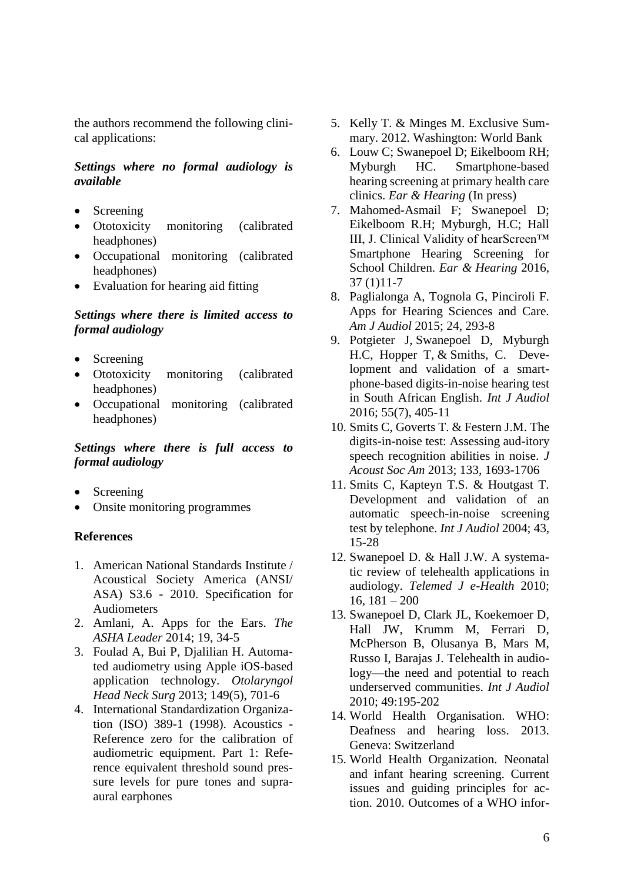the authors recommend the following clinical applications:

#### *Settings where no formal audiology is available*

- Screening
- Ototoxicity monitoring (calibrated headphones)
- Occupational monitoring (calibrated headphones)
- Evaluation for hearing aid fitting

#### *Settings where there is limited access to formal audiology*

- Screening
- Ototoxicity monitoring (calibrated headphones)
- Occupational monitoring (calibrated headphones)

#### *Settings where there is full access to formal audiology*

- **Screening**
- Onsite monitoring programmes

#### **References**

- 1. American National Standards Institute / Acoustical Society America (ANSI/ ASA) S3.6 - 2010. Specification for Audiometers
- 2. Amlani, A. Apps for the Ears. *The ASHA Leader* 2014; 19, 34-5
- 3. Foulad A, Bui P, Djalilian H. Automated audiometry using Apple iOS-based application technology. *Otolaryngol Head Neck Surg* 2013; 149(5), 701-6
- 4. International Standardization Organization (ISO) 389-1 (1998). Acoustics - Reference zero for the calibration of audiometric equipment. Part 1: Reference equivalent threshold sound pressure levels for pure tones and supraaural earphones
- 5. Kelly T. & Minges M. Exclusive Summary. 2012. Washington: World Bank
- 6. Louw C; Swanepoel D; Eikelboom RH; Myburgh HC. Smartphone-based hearing screening at primary health care clinics. *Ear & Hearing* (In press)
- 7. Mahomed-Asmail F; Swanepoel D; Eikelboom R.H; Myburgh, H.C; Hall III, J. Clinical Validity of hearScreen™ Smartphone Hearing Screening for School Children. *Ear & Hearing* 2016, 37 (1)11-7
- 8. Paglialonga A, Tognola G, Pinciroli F. Apps for Hearing Sciences and Care. *Am J Audiol* 2015; 24, 293-8
- 9. Potgieter J, Swanepoel D, Myburgh H.C, Hopper T, & Smiths, C. Development and validation of a smartphone-based digits-in-noise hearing test in South African English. *Int J Audiol* 2016; 55(7), 405-11
- 10. Smits C, Goverts T. & Festern J.M. The digits-in-noise test: Assessing aud-itory speech recognition abilities in noise. *J Acoust Soc Am* 2013; 133, 1693-1706
- 11. Smits C, Kapteyn T.S. & Houtgast T. Development and validation of an automatic speech-in-noise screening test by telephone. *Int J Audiol* 2004; 43, 15-28
- 12. Swanepoel D. & Hall J.W. A systematic review of telehealth applications in audiology. *Telemed J e-Health* 2010; 16,  $181 - 200$
- 13. Swanepoel D, Clark JL, Koekemoer D, Hall JW, Krumm M, Ferrari D, McPherson B, Olusanya B, Mars M, Russo I, Barajas J. Telehealth in audiology—the need and potential to reach underserved communities. *Int J Audiol* 2010; 49:195-202
- 14. World Health Organisation. WHO: Deafness and hearing loss. 2013. Geneva: Switzerland
- 15. World Health Organization. Neonatal and infant hearing screening. Current issues and guiding principles for action. 2010. Outcomes of a WHO infor-